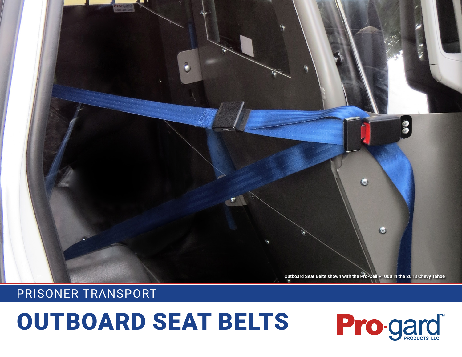# OUTBOARD SEAT BELTS



## PRISONER TRANSPORT